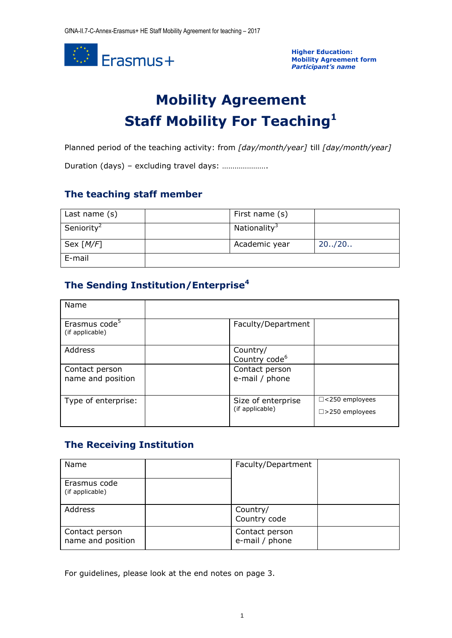

**Higher Education: Mobility Agreement form** *Participant's name*

# **Mobility Agreement Staff Mobility For Teaching<sup>1</sup>**

Planned period of the teaching activity: from *[day/month/year]* till *[day/month/year]*

Duration (days) – excluding travel days: ………………….

## **The teaching staff member**

| Last name $(s)$         | First name (s)           |         |
|-------------------------|--------------------------|---------|
| Seniority <sup>2</sup>  | Nationality <sup>3</sup> |         |
| Sex $\lceil M/F \rceil$ | Academic year            | 20.720. |
| E-mail                  |                          |         |

# **The Sending Institution/Enterprise<sup>4</sup>**

| Name                                         |                                       |                          |
|----------------------------------------------|---------------------------------------|--------------------------|
| Erasmus code <sup>5</sup><br>(if applicable) | Faculty/Department                    |                          |
| Address                                      | Country/<br>Country code <sup>6</sup> |                          |
| Contact person                               | Contact person                        |                          |
| name and position                            | e-mail / phone                        |                          |
| Type of enterprise:                          | Size of enterprise                    | $\Box$ <250 employees    |
|                                              | (if applicable)                       | $\square$ >250 employees |

## **The Receiving Institution**

| Name                                | Faculty/Department               |  |
|-------------------------------------|----------------------------------|--|
| Erasmus code<br>(if applicable)     |                                  |  |
| Address                             | Country/<br>Country code         |  |
| Contact person<br>name and position | Contact person<br>e-mail / phone |  |

For guidelines, please look at the end notes on page 3.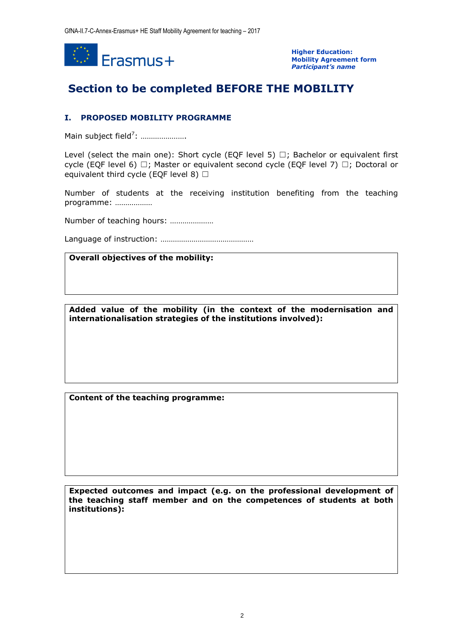

**Higher Education: Mobility Agreement form** *Participant's name*

# **Section to be completed BEFORE THE MOBILITY**

#### **I. PROPOSED MOBILITY PROGRAMME**

Main subject field<sup>7</sup>: ......................

Level (select the main one): Short cycle (EQF level 5)  $\Box$ ; Bachelor or equivalent first cycle (EQF level 6)  $□$ ; Master or equivalent second cycle (EQF level 7)  $□$ ; Doctoral or equivalent third cycle (EQF level 8)  $\Box$ 

Number of students at the receiving institution benefiting from the teaching programme: ………………

Number of teaching hours: …………………

Language of instruction: ………………………………………

#### **Overall objectives of the mobility:**

**Added value of the mobility (in the context of the modernisation and internationalisation strategies of the institutions involved):**

**Content of the teaching programme:**

**Expected outcomes and impact (e.g. on the professional development of the teaching staff member and on the competences of students at both institutions):**